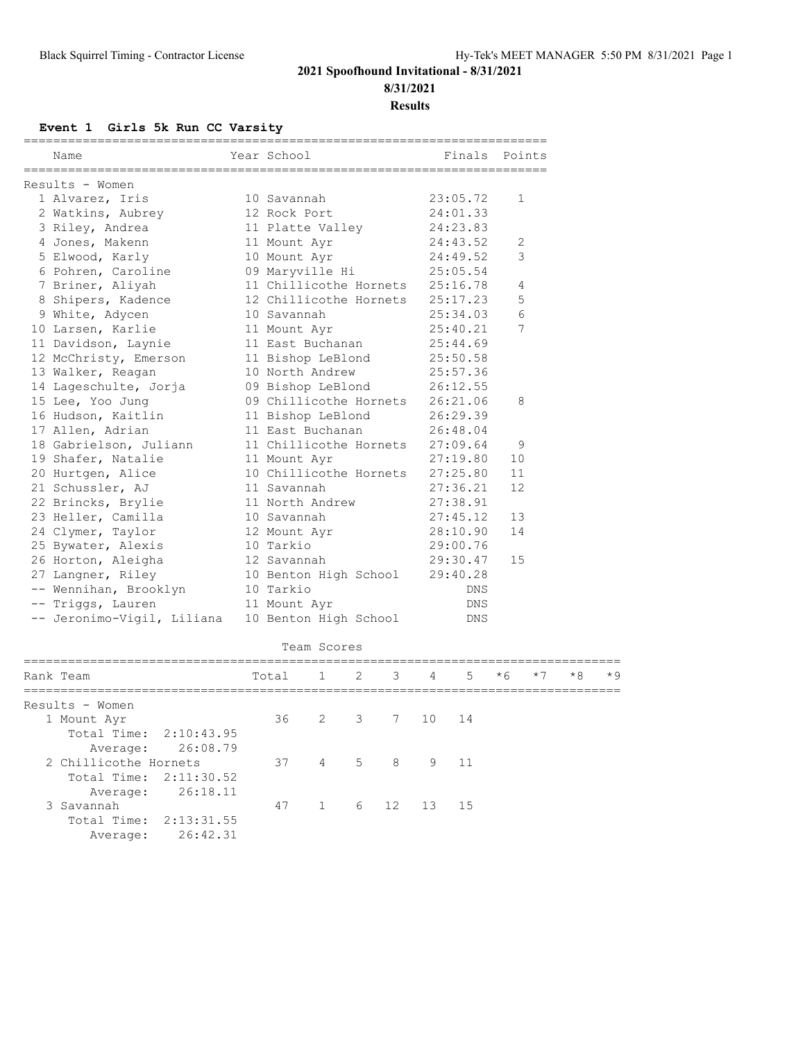## **2021 Spoofhound Invitational - 8/31/2021 8/31/2021**

**Results**

**Event 1 Girls 5k Run CC Varsity**

| Name                       | Year School Theory     | Finals Points |                 |
|----------------------------|------------------------|---------------|-----------------|
| Results - Women            |                        |               |                 |
| 1 Alvarez, Iris            | 10 Savannah            | 23:05.72      | $\mathbf{1}$    |
| 2 Watkins, Aubrey          | 12 Rock Port           | 24:01.33      |                 |
| 3 Riley, Andrea            | 11 Platte Valley       | 24:23.83      |                 |
| 4 Jones, Makenn            | 11 Mount Ayr           | 24:43.52      | 2               |
| 5 Elwood, Karly            | 10 Mount Ayr           | 24:49.52      | 3               |
| 6 Pohren, Caroline         | 09 Maryville Hi        | 25:05.54      |                 |
| 7 Briner, Aliyah           | 11 Chillicothe Hornets | 25:16.78      | 4               |
| 8 Shipers, Kadence         | 12 Chillicothe Hornets | 25:17.23      | 5               |
| 9 White, Adycen            | 10 Savannah            | 25:34.03      | $\epsilon$      |
| 10 Larsen, Karlie          | 11 Mount Ayr           | 25:40.21      | $7\overline{ }$ |
| 11 Davidson, Laynie        | 11 East Buchanan       | 25:44.69      |                 |
| 12 McChristy, Emerson      | 11 Bishop LeBlond      | 25:50.58      |                 |
| 13 Walker, Reagan          | 10 North Andrew        | 25:57.36      |                 |
| 14 Lageschulte, Jorja      | 09 Bishop LeBlond      | 26:12.55      |                 |
| 15 Lee, Yoo Jung           | 09 Chillicothe Hornets | 26:21.06      | 8               |
| 16 Hudson, Kaitlin         | 11 Bishop LeBlond      | 26:29.39      |                 |
| 17 Allen, Adrian           | 11 East Buchanan       | 26:48.04      |                 |
| 18 Gabrielson, Juliann     | 11 Chillicothe Hornets | 27:09.64      | 9               |
| 19 Shafer, Natalie         | 11 Mount Ayr           | 27:19.80      | 10              |
| 20 Hurtgen, Alice          | 10 Chillicothe Hornets | 27:25.80      | 11              |
| 21 Schussler, AJ           | 11 Savannah            | 27:36.21      | 12              |
| 22 Brincks, Brylie         | 11 North Andrew        | 27:38.91      |                 |
| 23 Heller, Camilla         | 10 Savannah            | 27:45.12      | 13              |
| 24 Clymer, Taylor          | 12 Mount Ayr           | 28:10.90      | 14              |
| 25 Bywater, Alexis         | 10 Tarkio              | 29:00.76      |                 |
| 26 Horton, Aleigha         | 12 Savannah            | 29:30.47      | 15              |
| 27 Langner, Riley          | 10 Benton High School  | 29:40.28      |                 |
| -- Wennihan, Brooklyn      | 10 Tarkio              | <b>DNS</b>    |                 |
| -- Triggs, Lauren          | 11 Mount Ayr           | DNS           |                 |
| -- Jeronimo-Vigil, Liliana | 10 Benton High School  | DNS           |                 |
|                            | Team Scores            |               |                 |

| Rank Team             |                        | Total 1 2 3 4 |                |  |       | $5 * 6$ | $*7$ | $*8$ | $*9$ |
|-----------------------|------------------------|---------------|----------------|--|-------|---------|------|------|------|
| Results - Women       |                        |               |                |  |       |         |      |      |      |
| 1 Mount Ayr           |                        |               | 36 2 3 7 10 14 |  |       |         |      |      |      |
|                       | Total Time: 2:10:43.95 |               |                |  |       |         |      |      |      |
| Average:              | 26:08.79               |               |                |  |       |         |      |      |      |
| 2 Chillicothe Hornets |                        |               | 37 4 5 8 9     |  | $-11$ |         |      |      |      |
|                       | Total Time: 2:11:30.52 |               |                |  |       |         |      |      |      |
| Average:              | 26:18.11               |               |                |  |       |         |      |      |      |
| 3 Savannah            |                        | 47            | 1 6 12 13 15   |  |       |         |      |      |      |
|                       | Total Time: 2:13:31.55 |               |                |  |       |         |      |      |      |
| Average:              | 26:42.31               |               |                |  |       |         |      |      |      |
|                       |                        |               |                |  |       |         |      |      |      |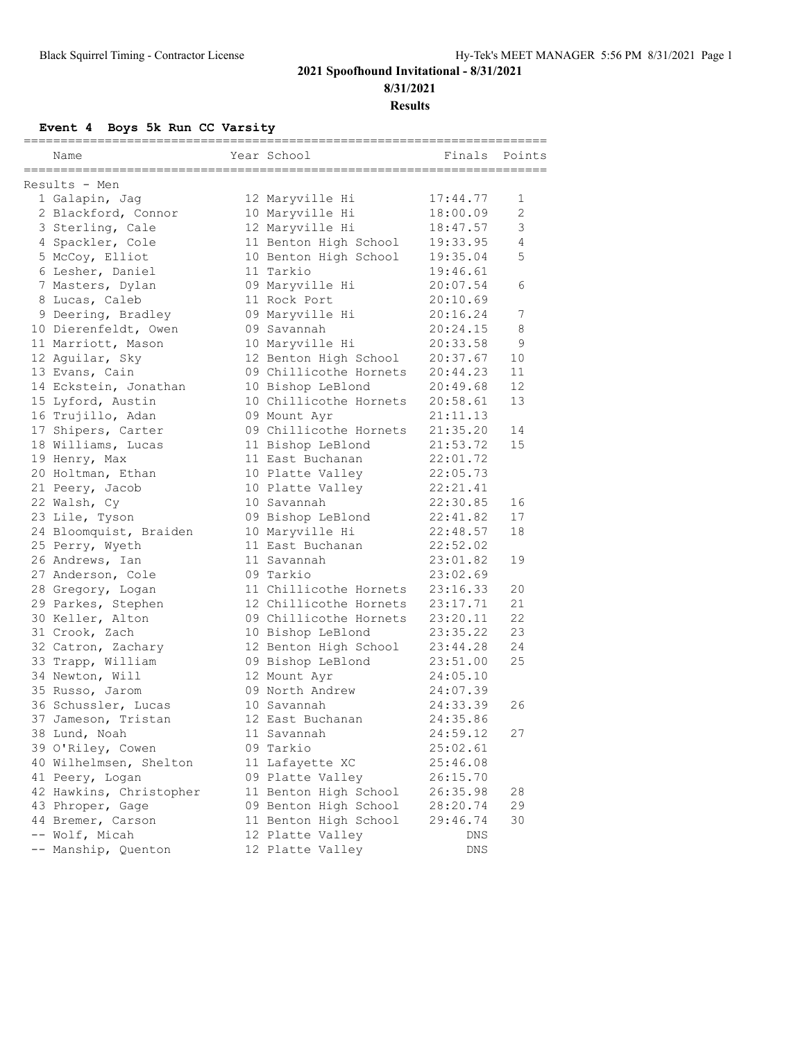## **2021 Spoofhound Invitational - 8/31/2021 8/31/2021**

**Results**

**Event 4 Boys 5k Run CC Varsity**

| Name<br>================================== | Year School            | Finals   | Points         |
|--------------------------------------------|------------------------|----------|----------------|
| Results - Men                              |                        |          |                |
| 1 Galapin, Jaq                             | 12 Maryville Hi        | 17:44.77 | 1              |
| 2 Blackford, Connor                        | 10 Maryville Hi        | 18:00.09 | $\overline{2}$ |
| 3 Sterling, Cale                           | 12 Maryville Hi        | 18:47.57 | 3              |
| 4 Spackler, Cole                           | 11 Benton High School  | 19:33.95 | $\overline{4}$ |
| 5 McCoy, Elliot                            | 10 Benton High School  | 19:35.04 | 5              |
| 6 Lesher, Daniel                           | 11 Tarkio              | 19:46.61 |                |
| 7 Masters, Dylan                           | 09 Maryville Hi        | 20:07.54 | 6              |
| 8 Lucas, Caleb                             | 11 Rock Port           | 20:10.69 |                |
| 9 Deering, Bradley                         | 09 Maryville Hi        | 20:16.24 | 7              |
| 10 Dierenfeldt, Owen                       | 09 Savannah            | 20:24.15 | 8              |
| 11 Marriott, Mason                         | 10 Maryville Hi        | 20:33.58 | 9              |
| 12 Aguilar, Sky                            | 12 Benton High School  | 20:37.67 | 10             |
| 13 Evans, Cain                             | 09 Chillicothe Hornets | 20:44.23 | 11             |
| 14 Eckstein, Jonathan                      | 10 Bishop LeBlond      | 20:49.68 | 12             |
| 15 Lyford, Austin                          | 10 Chillicothe Hornets | 20:58.61 | 13             |
| 16 Trujillo, Adan                          | 09 Mount Ayr           | 21:11.13 |                |
| 17 Shipers, Carter                         | 09 Chillicothe Hornets | 21:35.20 | 14             |
| 18 Williams, Lucas                         | 11 Bishop LeBlond      | 21:53.72 | 15             |
| 19 Henry, Max                              | 11 East Buchanan       | 22:01.72 |                |
| 20 Holtman, Ethan                          | 10 Platte Valley       | 22:05.73 |                |
| 21 Peery, Jacob                            | 10 Platte Valley       | 22:21.41 |                |
| 22 Walsh, Cy                               | 10 Savannah            | 22:30.85 | 16             |
| 23 Lile, Tyson                             | 09 Bishop LeBlond      | 22:41.82 | 17             |
| 24 Bloomquist, Braiden                     | 10 Maryville Hi        | 22:48.57 | 18             |
| 25 Perry, Wyeth                            | 11 East Buchanan       | 22:52.02 |                |
| 26 Andrews, Ian                            | 11 Savannah            | 23:01.82 | 19             |
| 27 Anderson, Cole                          | 09 Tarkio              | 23:02.69 |                |
| 28 Gregory, Logan                          | 11 Chillicothe Hornets | 23:16.33 | 20             |
| 29 Parkes, Stephen                         | 12 Chillicothe Hornets | 23:17.71 | 21             |
| 30 Keller, Alton                           | 09 Chillicothe Hornets | 23:20.11 | 22             |
| 31 Crook, Zach                             | 10 Bishop LeBlond      | 23:35.22 | 23             |
| 32 Catron, Zachary                         | 12 Benton High School  | 23:44.28 | 24             |
| 33 Trapp, William                          | 09 Bishop LeBlond      | 23:51.00 | 25             |
| 34 Newton, Will                            | 12 Mount Ayr           | 24:05.10 |                |
| 35 Russo, Jarom                            | 09 North Andrew        | 24:07.39 |                |
| 36 Schussler, Lucas                        | 10 Savannah            | 24:33.39 | 26             |
| 37 Jameson, Tristan                        | 12 East Buchanan       | 24:35.86 |                |
| 38 Lund, Noah                              | 11 Savannah            | 24:59.12 | 27             |
| 39 O'Riley, Cowen                          | 09 Tarkio              | 25:02.61 |                |
| 40 Wilhelmsen, Shelton                     | 11 Lafayette XC        | 25:46.08 |                |
| 41 Peery, Logan                            | 09 Platte Valley       | 26:15.70 |                |
| 42 Hawkins, Christopher                    | 11 Benton High School  | 26:35.98 | 28             |
| 43 Phroper, Gage                           | 09 Benton High School  | 28:20.74 | 29             |
| 44 Bremer, Carson                          | 11 Benton High School  | 29:46.74 | 30             |
| -- Wolf, Micah                             | 12 Platte Valley       | DNS      |                |
| -- Manship, Quenton                        | 12 Platte Valley       | DNS      |                |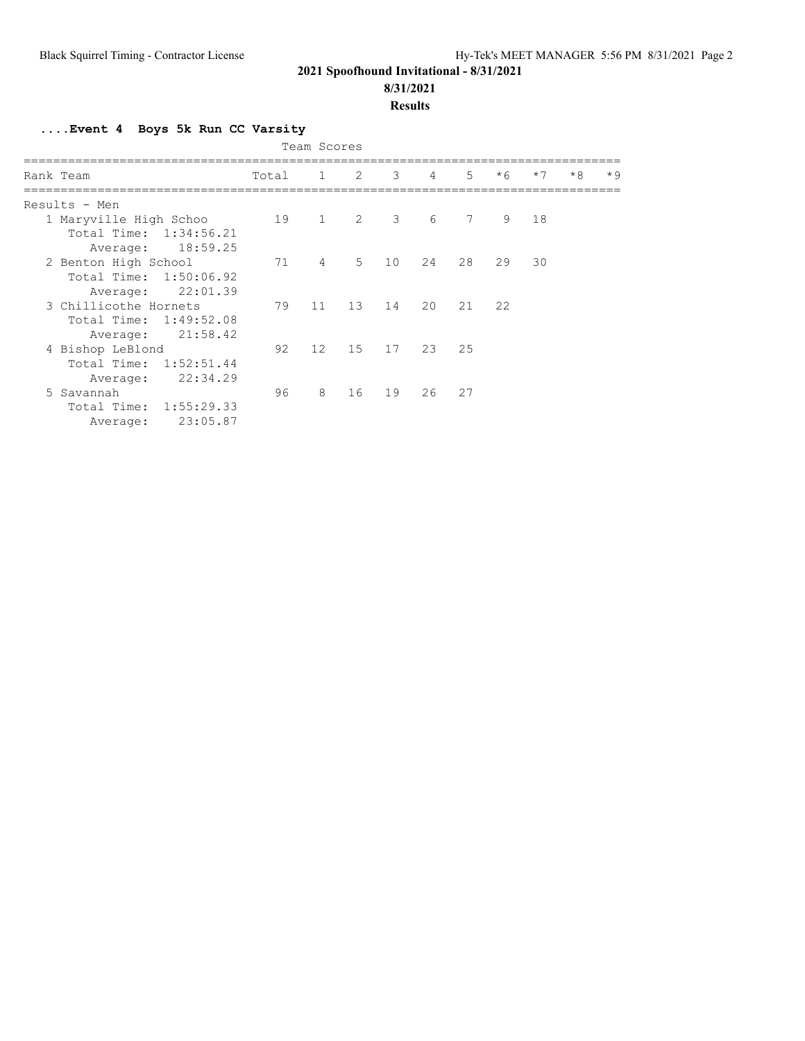# **2021 Spoofhound Invitational - 8/31/2021**

# **8/31/2021**

## **Results**

**....Event 4 Boys 5k Run CC Varsity**

|                                                                            |       | Team Scores    |             |    |                |                 |      |      |      |      |
|----------------------------------------------------------------------------|-------|----------------|-------------|----|----------------|-----------------|------|------|------|------|
| Rank Team                                                                  | Total |                | 1 2         | 3  | $\overline{4}$ | 5               | $*6$ | $*7$ | $*8$ | $*9$ |
| Results - Men                                                              |       |                |             |    |                |                 |      |      |      |      |
| 1 Maryville High Schoo<br>Total Time: 1:34:56.21<br>18:59.25<br>Average:   | 19    |                | $1 \t 2$    | 3  | 6              | $7\phantom{.0}$ | 9    | 18   |      |      |
| 2 Benton High School<br>Total Time: 1:50:06.92<br>22:01.39<br>Average:     | 71    | $\overline{4}$ | $5^{\circ}$ | 10 | 24             | 28              | 29   | 30   |      |      |
| 3 Chillicothe Hornets<br>Total Time:<br>1:49:52.08<br>21:58.42<br>Average: | 79    | 11             | 13          | 14 | 20             | 21              | 22   |      |      |      |
| 4 Bishop LeBlond<br>Total Time: 1:52:51.44<br>22:34.29<br>Average:         | 92    | 12             | 15          | 17 | 23             | -25             |      |      |      |      |
| 5 Savannah<br>Total Time: 1:55:29.33<br>23:05.87<br>Average:               | 96    | 8              | 16          | 19 | 26             | 27              |      |      |      |      |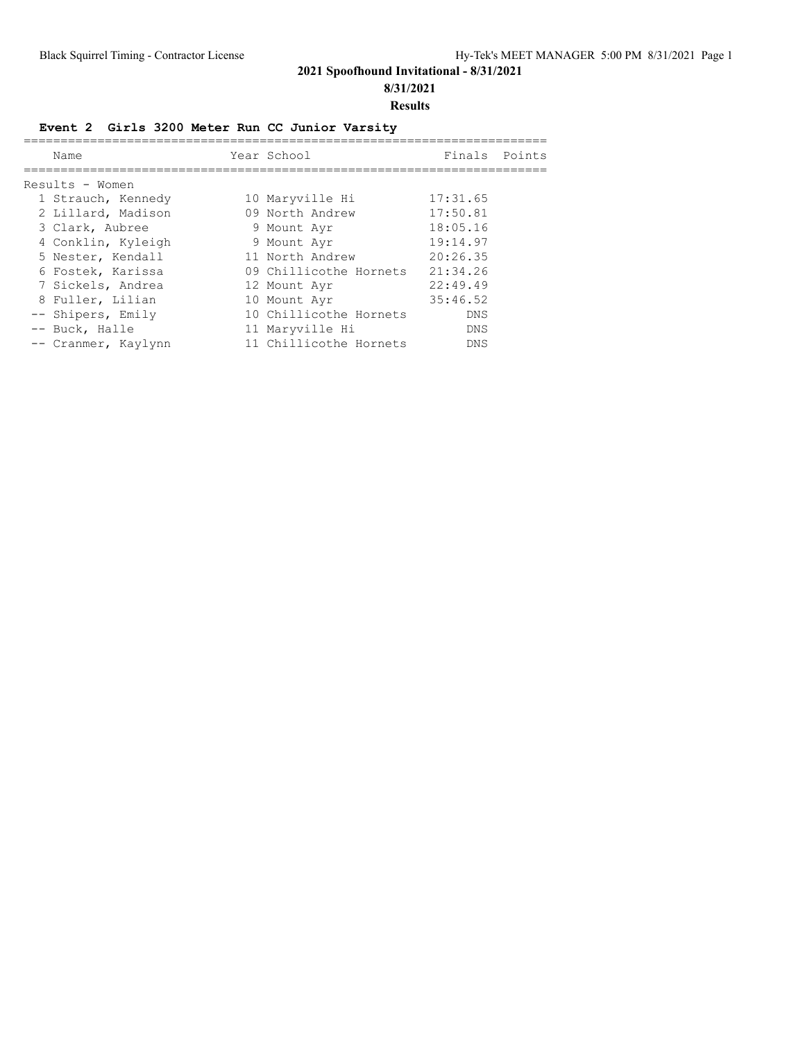# **2021 Spoofhound Invitational - 8/31/2021**

**8/31/2021**

#### **Results**

# **Event 2 Girls 3200 Meter Run CC Junior Varsity**

| Name                | Year School            | Finals     | Points |
|---------------------|------------------------|------------|--------|
|                     |                        |            |        |
| Results - Women     |                        |            |        |
| 1 Strauch, Kennedy  | 10 Maryville Hi        | 17:31.65   |        |
| 2 Lillard, Madison  | 09 North Andrew        | 17:50.81   |        |
| 3 Clark, Aubree     | 9 Mount Ayr            | 18:05.16   |        |
| 4 Conklin, Kyleigh  | 9 Mount Ayr            | 19:14.97   |        |
| 5 Nester, Kendall   | 11 North Andrew        | 20:26.35   |        |
| 6 Fostek, Karissa   | 09 Chillicothe Hornets | 21:34.26   |        |
| 7 Sickels, Andrea   | 12 Mount Ayr           | 22:49.49   |        |
| 8 Fuller, Lilian    | 10 Mount Ayr           | 35:46.52   |        |
| -- Shipers, Emily   | 10 Chillicothe Hornets | <b>DNS</b> |        |
| -- Buck, Halle      | 11 Maryville Hi        | <b>DNS</b> |        |
| -- Cranmer, Kaylynn | 11 Chillicothe Hornets | <b>DNS</b> |        |